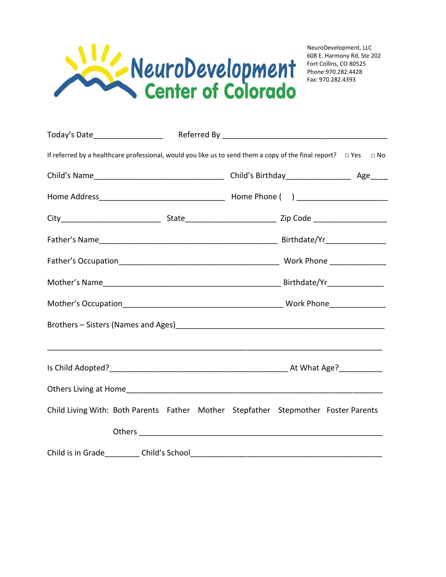

NeuroDevelopment, LLC 608 E. Harmony Rd, Ste 202 Fort Collins, CO 80525 Phone:970.282.4428 Fax: 970.282.4393

| Today's Date____________________                                                                                |  |  |  |           |  |  |  |  |  |
|-----------------------------------------------------------------------------------------------------------------|--|--|--|-----------|--|--|--|--|--|
| If referred by a healthcare professional, would you like us to send them a copy of the final report? $\Box$ Yes |  |  |  | $\Box$ No |  |  |  |  |  |
|                                                                                                                 |  |  |  |           |  |  |  |  |  |
|                                                                                                                 |  |  |  |           |  |  |  |  |  |
|                                                                                                                 |  |  |  |           |  |  |  |  |  |
|                                                                                                                 |  |  |  |           |  |  |  |  |  |
|                                                                                                                 |  |  |  |           |  |  |  |  |  |
|                                                                                                                 |  |  |  |           |  |  |  |  |  |
|                                                                                                                 |  |  |  |           |  |  |  |  |  |
|                                                                                                                 |  |  |  |           |  |  |  |  |  |
|                                                                                                                 |  |  |  |           |  |  |  |  |  |
|                                                                                                                 |  |  |  |           |  |  |  |  |  |
|                                                                                                                 |  |  |  |           |  |  |  |  |  |
| Child Living With: Both Parents Father Mother Stepfather Stepmother Foster Parents                              |  |  |  |           |  |  |  |  |  |
|                                                                                                                 |  |  |  |           |  |  |  |  |  |
|                                                                                                                 |  |  |  |           |  |  |  |  |  |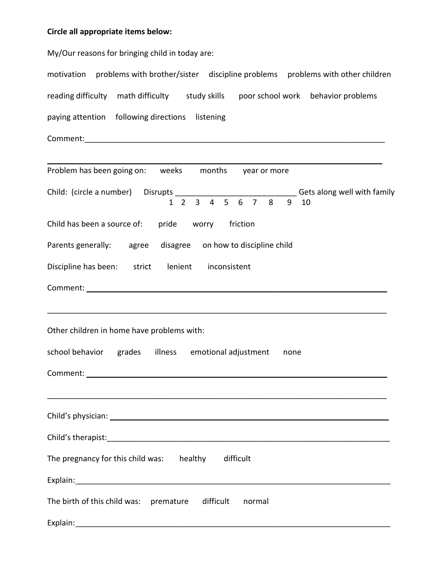## **Circle all appropriate items below:**

| My/Our reasons for bringing child in today are:                                                                                                                                                                                |
|--------------------------------------------------------------------------------------------------------------------------------------------------------------------------------------------------------------------------------|
| motivation problems with brother/sister discipline problems problems with other children                                                                                                                                       |
| reading difficulty math difficulty study skills poor school work behavior problems                                                                                                                                             |
| paying attention following directions listening                                                                                                                                                                                |
|                                                                                                                                                                                                                                |
| Problem has been going on: weeks months year or more                                                                                                                                                                           |
| Child: (circle a number) Disrupts ________________________________Gets along well with family<br>5 6 7<br>$1 \t2 \t3 \t4$<br>8<br>9<br>10                                                                                      |
| Child has been a source of: pride worry<br>friction                                                                                                                                                                            |
| Parents generally: agree disagree on how to discipline child                                                                                                                                                                   |
| Discipline has been: strict lenient<br>inconsistent                                                                                                                                                                            |
|                                                                                                                                                                                                                                |
|                                                                                                                                                                                                                                |
| Other children in home have problems with:                                                                                                                                                                                     |
| school behavior grades illness emotional adjustment<br>none                                                                                                                                                                    |
| Comment:                                                                                                                                                                                                                       |
|                                                                                                                                                                                                                                |
| Child's therapist: example and the contract of the contract of the contract of the contract of the contract of                                                                                                                 |
| The pregnancy for this child was: healthy<br>difficult                                                                                                                                                                         |
| Explain: Explaint and the set of the set of the set of the set of the set of the set of the set of the set of the set of the set of the set of the set of the set of the set of the set of the set of the set of the set of th |
| The birth of this child was: premature<br>difficult<br>normal                                                                                                                                                                  |
| Explain:<br><u> 1989 - Johann Johann Stone, meil in der Stone aus der Stone aus der Stone aus der Stone aus der Stone aus der</u>                                                                                              |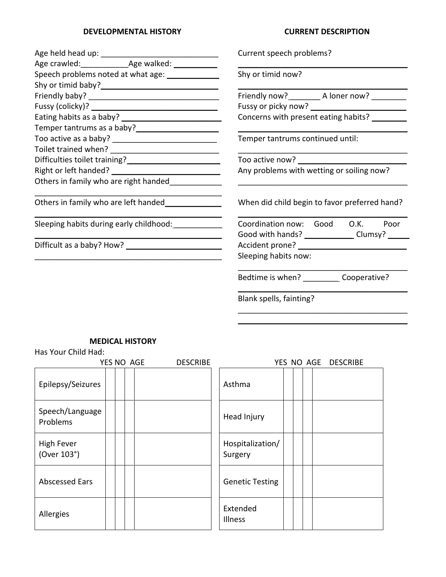## **DEVELOPMENTAL HISTORY**

## **CURRENT DESCRIPTION**

 $\mathcal{L}=\{1,2,3,4,5\}$  , we can assume that  $\mathcal{L}=\{1,2,3,4,5\}$  $\mathcal{L}=\{1,2,3,4,5\}$  , we can assume that  $\mathcal{L}=\{1,2,3,4,5\}$ 

|                                                              | Current speech problems?                        |
|--------------------------------------------------------------|-------------------------------------------------|
|                                                              |                                                 |
| Speech problems noted at what age: ____________              | Shy or timid now?                               |
|                                                              |                                                 |
|                                                              | Friendly now? __________ A loner now? _________ |
|                                                              |                                                 |
|                                                              | Concerns with present eating habits?            |
|                                                              |                                                 |
|                                                              | Temper tantrums continued until:                |
|                                                              |                                                 |
| Difficulties toilet training?<br><u> </u>                    |                                                 |
|                                                              | Any problems with wetting or soiling now?       |
| Others in family who are right handed<br><u>Lettin model</u> |                                                 |
| Others in family who are left handed                         | When did child begin to favor preferred hand?   |
| Sleeping habits during early childhood:<br>                  | Coordination now: Good O.K. Poor                |
|                                                              | Good with hands? _______________Clumsy? _______ |
|                                                              |                                                 |
|                                                              | Sleeping habits now:                            |
|                                                              | Bedtime is when? ____________ Cooperative?      |
|                                                              | Blank spells, fainting?                         |

## **MEDICAL HISTORY**

Has Your Child Had:

|                             |  | YES NO AGE | <b>DESCRIBE</b> | YES NO AGE DESCRIBE         |  |  |  |  |  |  |  |
|-----------------------------|--|------------|-----------------|-----------------------------|--|--|--|--|--|--|--|
| Epilepsy/Seizures           |  |            |                 | Asthma                      |  |  |  |  |  |  |  |
| Speech/Language<br>Problems |  |            |                 | Head Injury                 |  |  |  |  |  |  |  |
| High Fever<br>(Over 103°)   |  |            |                 | Hospitalization/<br>Surgery |  |  |  |  |  |  |  |
| <b>Abscessed Ears</b>       |  |            |                 | <b>Genetic Testing</b>      |  |  |  |  |  |  |  |
| Allergies                   |  |            |                 | Extended<br>Illness         |  |  |  |  |  |  |  |